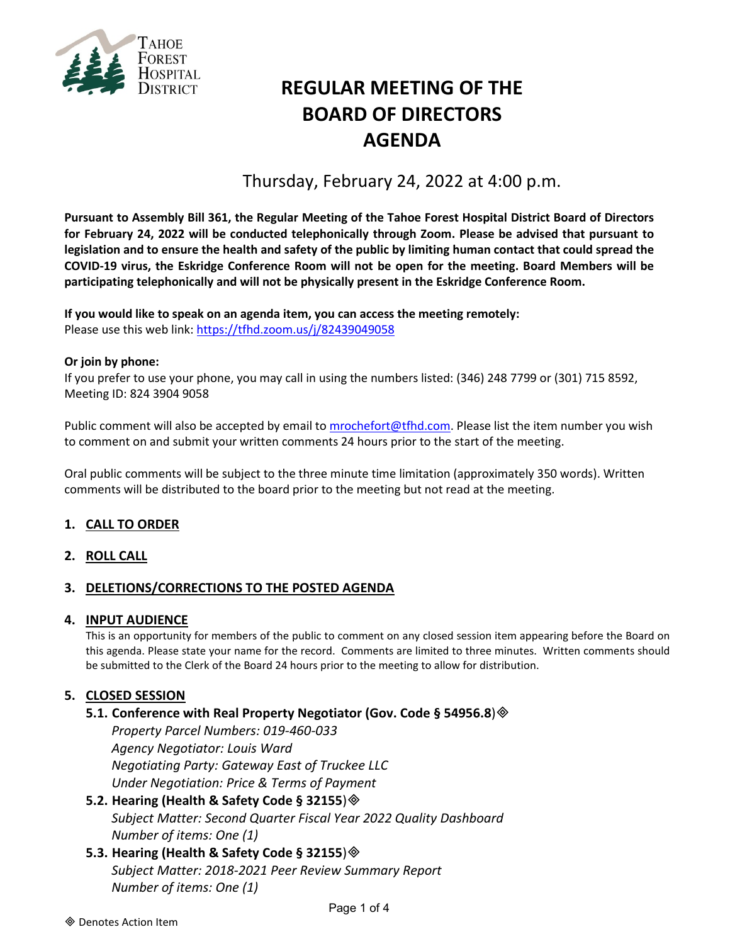

# **REGULAR MEETING OF THE BOARD OF DIRECTORS AGENDA**

Thursday, February 24, 2022 at 4:00 p.m.

**Pursuant to Assembly Bill 361, the Regular Meeting of the Tahoe Forest Hospital District Board of Directors for February 24, 2022 will be conducted telephonically through Zoom. Please be advised that pursuant to legislation and to ensure the health and safety of the public by limiting human contact that could spread the COVID-19 virus, the Eskridge Conference Room will not be open for the meeting. Board Members will be participating telephonically and will not be physically present in the Eskridge Conference Room.**

**If you would like to speak on an agenda item, you can access the meeting remotely:** Please use this web link: <https://tfhd.zoom.us/j/82439049058>

## **Or join by phone:**

If you prefer to use your phone, you may call in using the numbers listed: (346) 248 7799 or (301) 715 8592, Meeting ID: 824 3904 9058

Public comment will also be accepted by email to [mrochefort@tfhd.com.](mailto:mrochefort@tfhd.com) Please list the item number you wish to comment on and submit your written comments 24 hours prior to the start of the meeting.

Oral public comments will be subject to the three minute time limitation (approximately 350 words). Written comments will be distributed to the board prior to the meeting but not read at the meeting.

## **1. CALL TO ORDER**

## **2. ROLL CALL**

## **3. DELETIONS/CORRECTIONS TO THE POSTED AGENDA**

#### **4. INPUT AUDIENCE**

This is an opportunity for members of the public to comment on any closed session item appearing before the Board on this agenda. Please state your name for the record. Comments are limited to three minutes. Written comments should be submitted to the Clerk of the Board 24 hours prior to the meeting to allow for distribution.

## **5. CLOSED SESSION**

#### **5.1. Conference with Real Property Negotiator (Gov. Code § 54956.8**)

*Property Parcel Numbers: 019-460-033 Agency Negotiator: Louis Ward Negotiating Party: Gateway East of Truckee LLC Under Negotiation: Price & Terms of Payment*

## **5.2. Hearing (Health & Safety Code § 32155**) *Subject Matter: Second Quarter Fiscal Year 2022 Quality Dashboard Number of items: One (1)*

**5.3. Hearing (Health & Safety Code § 32155**) *Subject Matter: 2018-2021 Peer Review Summary Report Number of items: One (1)*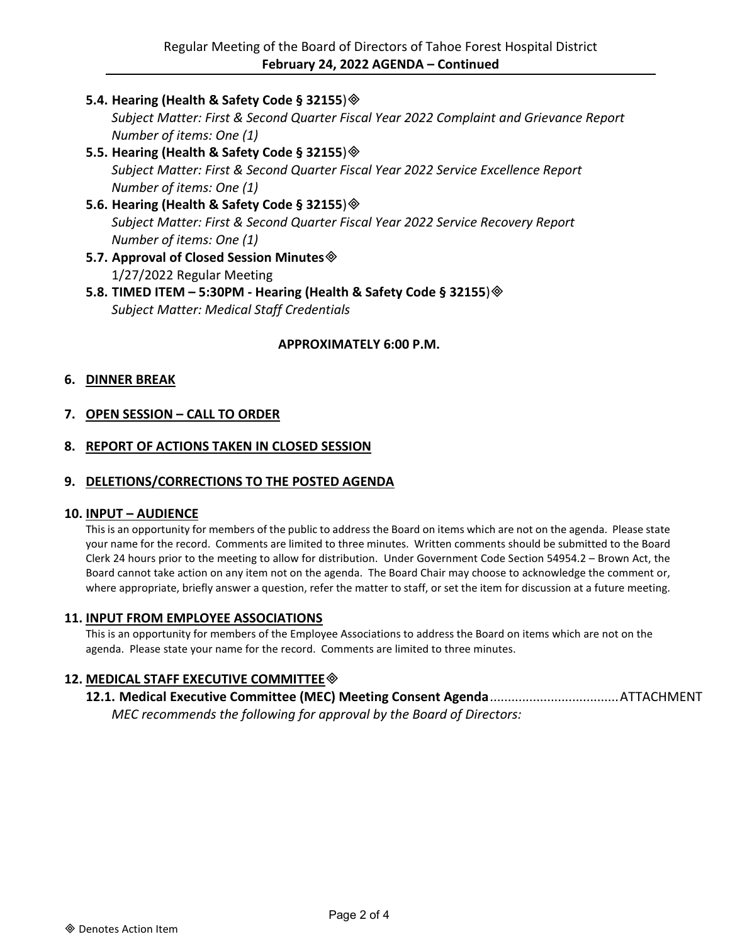**5.4. Hearing (Health & Safety Code § 32155**)

*Subject Matter: First & Second Quarter Fiscal Year 2022 Complaint and Grievance Report Number of items: One (1)*

- **5.5. Hearing (Health & Safety Code § 32155**) *Subject Matter: First & Second Quarter Fiscal Year 2022 Service Excellence Report Number of items: One (1)*
- **5.6. Hearing (Health & Safety Code § 32155**) *Subject Matter: First & Second Quarter Fiscal Year 2022 Service Recovery Report Number of items: One (1)*
- **5.7. Approval of Closed Session Minutes** 1/27/2022 Regular Meeting
- **5.8. TIMED ITEM – 5:30PM - Hearing (Health & Safety Code § 32155**) *Subject Matter: Medical Staff Credentials*

## **APPROXIMATELY 6:00 P.M.**

## **6. DINNER BREAK**

## **7. OPEN SESSION – CALL TO ORDER**

## **8. REPORT OF ACTIONS TAKEN IN CLOSED SESSION**

#### **9. DELETIONS/CORRECTIONS TO THE POSTED AGENDA**

#### **10. INPUT – AUDIENCE**

This is an opportunity for members of the public to address the Board on items which are not on the agenda. Please state your name for the record. Comments are limited to three minutes. Written comments should be submitted to the Board Clerk 24 hours prior to the meeting to allow for distribution. Under Government Code Section 54954.2 – Brown Act, the Board cannot take action on any item not on the agenda. The Board Chair may choose to acknowledge the comment or, where appropriate, briefly answer a question, refer the matter to staff, or set the item for discussion at a future meeting.

#### **11. INPUT FROM EMPLOYEE ASSOCIATIONS**

This is an opportunity for members of the Employee Associations to address the Board on items which are not on the agenda. Please state your name for the record. Comments are limited to three minutes.

## **12. MEDICAL STAFF EXECUTIVE COMMITTEE**

**12.1. Medical Executive Committee (MEC) Meeting Consent Agenda**....................................ATTACHMENT *MEC recommends the following for approval by the Board of Directors:*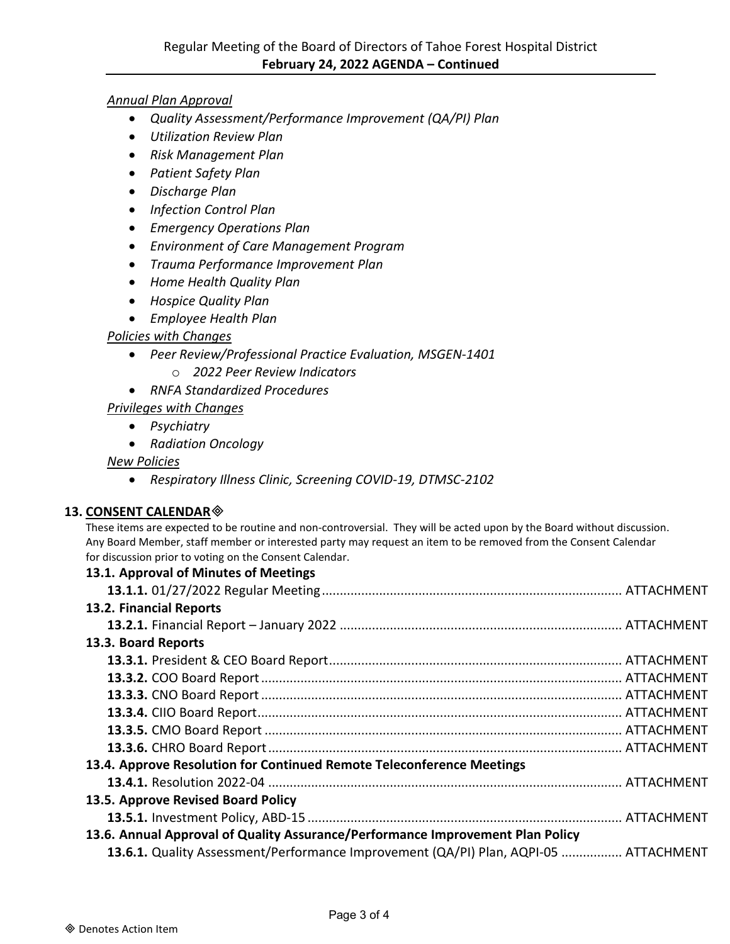## *Annual Plan Approval*

- *Quality Assessment/Performance Improvement (QA/PI) Plan*
- *Utilization Review Plan*
- *Risk Management Plan*
- *Patient Safety Plan*
- *Discharge Plan*
- *Infection Control Plan*
- *Emergency Operations Plan*
- *Environment of Care Management Program*
- *Trauma Performance Improvement Plan*
- *Home Health Quality Plan*
- *Hospice Quality Plan*
- *Employee Health Plan*

## *Policies with Changes*

- *Peer Review/Professional Practice Evaluation, MSGEN-1401*
	- o *2022 Peer Review Indicators*
- *RNFA Standardized Procedures*
- *Privileges with Changes*
	- *Psychiatry*
	- *Radiation Oncology*

## *New Policies*

• *Respiratory Illness Clinic, Screening COVID-19, DTMSC-2102*

## **13. CONSENT CALENDAR**

These items are expected to be routine and non-controversial. They will be acted upon by the Board without discussion. Any Board Member, staff member or interested party may request an item to be removed from the Consent Calendar for discussion prior to voting on the Consent Calendar.

## **13.1. Approval of Minutes of Meetings**

| 13.2. Financial Reports                                                              |  |
|--------------------------------------------------------------------------------------|--|
|                                                                                      |  |
| 13.3. Board Reports                                                                  |  |
|                                                                                      |  |
|                                                                                      |  |
|                                                                                      |  |
|                                                                                      |  |
|                                                                                      |  |
|                                                                                      |  |
| 13.4. Approve Resolution for Continued Remote Teleconference Meetings                |  |
|                                                                                      |  |
| 13.5. Approve Revised Board Policy                                                   |  |
|                                                                                      |  |
| 13.6. Annual Approval of Quality Assurance/Performance Improvement Plan Policy       |  |
| 13.6.1. Quality Assessment/Performance Improvement (QA/PI) Plan, AQPI-05  ATTACHMENT |  |